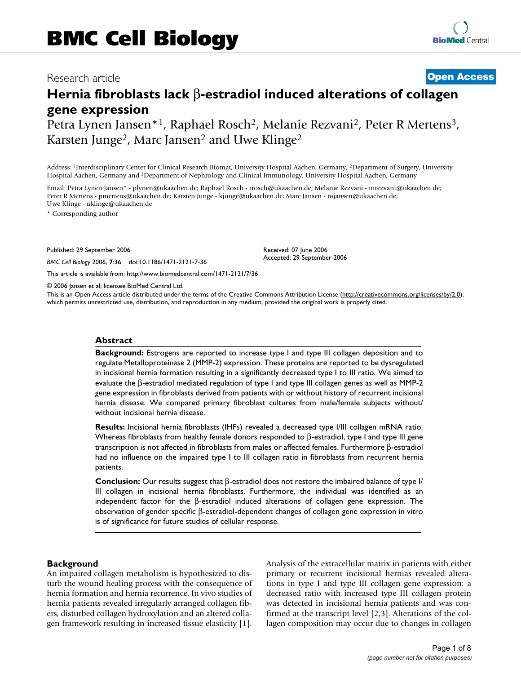# Research article **[Open Access](http://www.biomedcentral.com/info/about/charter/)**

# **Hernia fibroblasts lack** β**-estradiol induced alterations of collagen gene expression**

Petra Lynen Jansen\*1, Raphael Rosch2, Melanie Rezvani2, Peter R Mertens3, Karsten Junge<sup>2</sup>, Marc Jansen<sup>2</sup> and Uwe Klinge<sup>2</sup>

Address: 1Interdisciplinary Center for Clinical Research Biomat, University Hospital Aachen, Germany, 2Department of Surgery, University Hospital Aachen, Germany and 3Department of Nephrology and Clinical Immunology, University Hospital Aachen, Germany

Email: Petra Lynen Jansen\* - plynen@ukaachen.de; Raphael Rosch - rrosch@ukaachen.de; Melanie Rezvani - mrezvani@ukaachen.de; Peter R Mertens - pmertens@ukaachen.de; Karsten Junge - kjunge@ukaachen.de; Marc Jansen - mjansen@ukaachen.de; Uwe Klinge - uklinge@ukaachen.de

\* Corresponding author

Published: 29 September 2006

*BMC Cell Biology* 2006, **7**:36 doi:10.1186/1471-2121-7-36

[This article is available from: http://www.biomedcentral.com/1471-2121/7/36](http://www.biomedcentral.com/1471-2121/7/36)

© 2006 Jansen et al; licensee BioMed Central Ltd.

This is an Open Access article distributed under the terms of the Creative Commons Attribution License [\(http://creativecommons.org/licenses/by/2.0\)](http://creativecommons.org/licenses/by/2.0), which permits unrestricted use, distribution, and reproduction in any medium, provided the original work is properly cited.

Received: 07 June 2006 Accepted: 29 September 2006

#### **Abstract**

**Background:** Estrogens are reported to increase type I and type III collagen deposition and to regulate Metalloproteinase 2 (MMP-2) expression. These proteins are reported to be dysregulated in incisional hernia formation resulting in a significantly decreased type I to III ratio. We aimed to evaluate the β-estradiol mediated regulation of type I and type III collagen genes as well as MMP-2 gene expression in fibroblasts derived from patients with or without history of recurrent incisional hernia disease. We compared primary fibroblast cultures from male/female subjects without/ without incisional hernia disease.

**Results:** Incisional hernia fibroblasts (IHFs) revealed a decreased type I/III collagen mRNA ratio. Whereas fibroblasts from healthy female donors responded to β-estradiol, type I and type III gene transcription is not affected in fibroblasts from males or affected females. Furthermore β-estradiol had no influence on the impaired type I to III collagen ratio in fibroblasts from recurrent hernia patients.

**Conclusion:** Our results suggest that β-estradiol does not restore the imbaired balance of type I/ III collagen in incisional hernia fibroblasts. Furthermore, the individual was identified as an independent factor for the β-estradiol induced alterations of collagen gene expression. The observation of gender specific β-estradiol-dependent changes of collagen gene expression in vitro is of significance for future studies of cellular response.

#### **Background**

An impaired collagen metabolism is hypothesized to disturb the wound healing process with the consequence of hernia formation and hernia recurrence. In vivo studies of hernia patients revealed irregularly arranged collagen fibers, disturbed collagen hydroxylation and an altered collagen framework resulting in increased tissue elasticity [1]. Analysis of the extracellular matrix in patients with either primary or recurrent incisional hernias revealed alterations in type I and type III collagen gene expression: a decreased ratio with increased type III collagen protein was detected in incisional hernia patients and was confirmed at the transcript level [2,3]. Alterations of the collagen composition may occur due to changes in collagen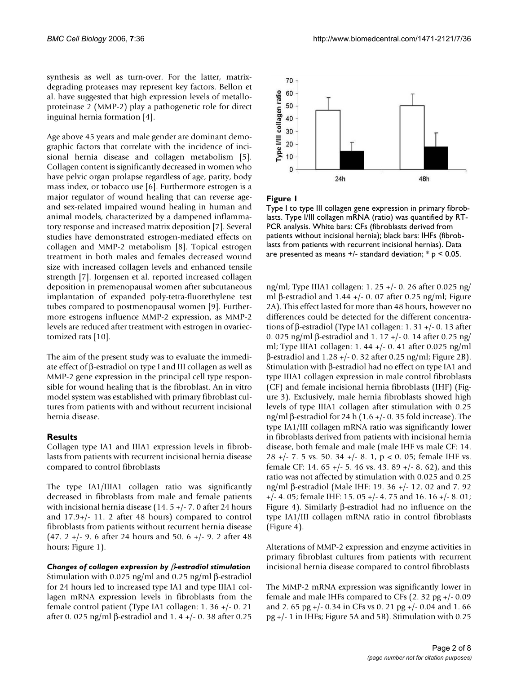synthesis as well as turn-over. For the latter, matrixdegrading proteases may represent key factors. Bellon et al. have suggested that high expression levels of metalloproteinase 2 (MMP-2) play a pathogenetic role for direct inguinal hernia formation [4].

Age above 45 years and male gender are dominant demographic factors that correlate with the incidence of incisional hernia disease and collagen metabolism [5]. Collagen content is significantly decreased in women who have pelvic organ prolapse regardless of age, parity, body mass index, or tobacco use [6]. Furthermore estrogen is a major regulator of wound healing that can reverse ageand sex-related impaired wound healing in human and animal models, characterized by a dampened inflammatory response and increased matrix deposition [7]. Several studies have demonstrated estrogen-mediated effects on collagen and MMP-2 metabolism [8]. Topical estrogen treatment in both males and females decreased wound size with increased collagen levels and enhanced tensile strength [7]. Jorgensen et al. reported increased collagen deposition in premenopausal women after subcutaneous implantation of expanded poly-tetra-fluorethylene test tubes compared to postmenopausal women [9]. Furthermore estrogens influence MMP-2 expression, as MMP-2 levels are reduced after treatment with estrogen in ovariectomized rats [10].

The aim of the present study was to evaluate the immediate effect of β-estradiol on type I and III collagen as well as MMP-2 gene expression in the principal cell type responsible for wound healing that is the fibroblast. An in vitro model system was established with primary fibroblast cultures from patients with and without recurrent incisional hernia disease.

#### **Results**

Collagen type IA1 and IIIA1 expression levels in fibroblasts from patients with recurrent incisional hernia disease compared to control fibroblasts

The type IA1/IIIA1 collagen ratio was significantly decreased in fibroblasts from male and female patients with incisional hernia disease (14. 5 +/- 7. 0 after 24 hours and 17.9+/- 11. 2 after 48 hours) compared to control fibroblasts from patients without recurrent hernia disease (47. 2 +/- 9. 6 after 24 hours and 50. 6 +/- 9. 2 after 48 hours; Figure 1).

# *Changes of collagen expression by* β*-estradiol stimulation*

Stimulation with 0.025 ng/ml and 0.25 ng/ml β-estradiol for 24 hours led to increased type IA1 and type IIIA1 collagen mRNA expression levels in fibroblasts from the female control patient (Type IA1 collagen: 1. 36 +/- 0. 21 after 0. 025 ng/ml β-estradiol and 1. 4 +/- 0. 38 after 0.25



Figure 1

Type I to type III collagen gene expression in primary fibroblasts. Type I/III collagen mRNA (ratio) was quantified by RT-PCR analysis. White bars: CFs (fibroblasts derived from patients without incisional hernia); black bars: IHFs (fibroblasts from patients with recurrent incisional hernias). Data are presented as means  $+/-$  standard deviation;  $* p < 0.05$ .

ng/ml; Type IIIA1 collagen: 1. 25 +/- 0. 26 after 0.025 ng/ ml β-estradiol and 1.44 +/- 0. 07 after 0.25 ng/ml; Figure 2A). This effect lasted for more than 48 hours, however no differences could be detected for the different concentrations of β-estradiol (Type IA1 collagen: 1. 31 +/- 0. 13 after 0. 025 ng/ml β-estradiol and 1. 17 +/- 0. 14 after 0.25 ng/ ml; Type IIIA1 collagen: 1. 44 +/- 0. 41 after 0.025 ng/ml β-estradiol and 1.28 +/- 0. 32 after 0.25 ng/ml; Figure 2B). Stimulation with β-estradiol had no effect on type IA1 and type IIIA1 collagen expression in male control fibroblasts (CF) and female incisional hernia fibroblasts (IHF) (Figure 3). Exclusively, male hernia fibroblasts showed high levels of type IIIA1 collagen after stimulation with 0.25 ng/ml β-estradiol for 24 h (1.6 +/- 0. 35 fold increase). The type IA1/III collagen mRNA ratio was significantly lower in fibroblasts derived from patients with incisional hernia disease, both female and male (male IHF vs male CF: 14. 28 +/- 7. 5 vs. 50. 34 +/- 8. 1, p < 0. 05; female IHF vs. female CF: 14.  $65 +/- 5$ . 46 vs. 43. 89  $+/- 8$ . 62), and this ratio was not affected by stimulation with 0.025 and 0.25 ng/ml β-estradiol (Male IHF: 19. 36 +/- 12. 02 and 7. 92 +/- 4. 05; female IHF: 15. 05 +/- 4. 75 and 16. 16 +/- 8. 01; Figure 4). Similarly β-estradiol had no influence on the type IA1/III collagen mRNA ratio in control fibroblasts (Figure 4).

Alterations of MMP-2 expression and enzyme activities in primary fibroblast cultures from patients with recurrent incisional hernia disease compared to control fibroblasts

The MMP-2 mRNA expression was significantly lower in female and male IHFs compared to CFs (2. 32 pg +/- 0.09 and 2. 65 pg +/- 0.34 in CFs vs 0. 21 pg +/- 0.04 and 1. 66 pg +/- 1 in IHFs; Figure 5A and 5B). Stimulation with 0.25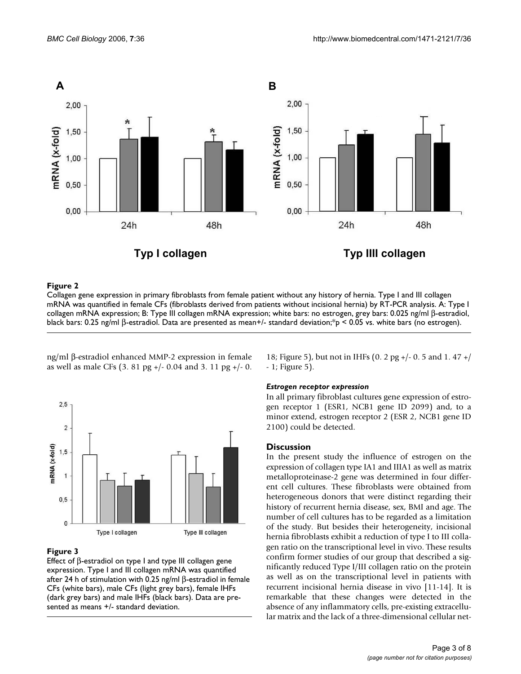

### Collagen gene expression in primary fibroblasts **Figure 2** from female patient without any history of hernia

Collagen gene expression in primary fibroblasts from female patient without any history of hernia. Type I and III collagen mRNA was quantified in female CFs (fibroblasts derived from patients without incisional hernia) by RT-PCR analysis. A: Type I collagen mRNA expression; B: Type III collagen mRNA expression; white bars: no estrogen, grey bars: 0.025 ng/ml β-estradiol, black bars: 0.25 ng/ml β-estradiol. Data are presented as mean+/- standard deviation;\*p < 0.05 vs. white bars (no estrogen).

ng/ml β-estradiol enhanced MMP-2 expression in female as well as male CFs (3. 81 pg +/- 0.04 and 3. 11 pg +/- 0.



#### **Figure 3**

Effect of β-estradiol on type I and type III collagen gene expression. Type I and III collagen mRNA was quantified after 24 h of stimulation with 0.25 ng/ml β-estradiol in female CFs (white bars), male CFs (light grey bars), female IHFs (dark grey bars) and male IHFs (black bars). Data are presented as means +/- standard deviation.

18; Figure 5), but not in IHFs (0. 2 pg +/- 0. 5 and 1. 47 +/ - 1; Figure 5).

#### *Estrogen receptor expression*

In all primary fibroblast cultures gene expression of estrogen receptor 1 (ESR1, NCB1 gene ID 2099) and, to a minor extend, estrogen receptor 2 (ESR 2, NCB1 gene ID 2100) could be detected.

#### **Discussion**

In the present study the influence of estrogen on the expression of collagen type IA1 and IIIA1 as well as matrix metalloproteinase-2 gene was determined in four different cell cultures. These fibroblasts were obtained from heterogeneous donors that were distinct regarding their history of recurrent hernia disease, sex, BMI and age. The number of cell cultures has to be regarded as a limitation of the study. But besides their heterogeneity, incisional hernia fibroblasts exhibit a reduction of type I to III collagen ratio on the transcriptional level in vivo. These results confirm former studies of our group that described a significantly reduced Type I/III collagen ratio on the protein as well as on the transcriptional level in patients with recurrent incisional hernia disease in vivo [11-14]. It is remarkable that these changes were detected in the absence of any inflammatory cells, pre-existing extracellular matrix and the lack of a three-dimensional cellular net-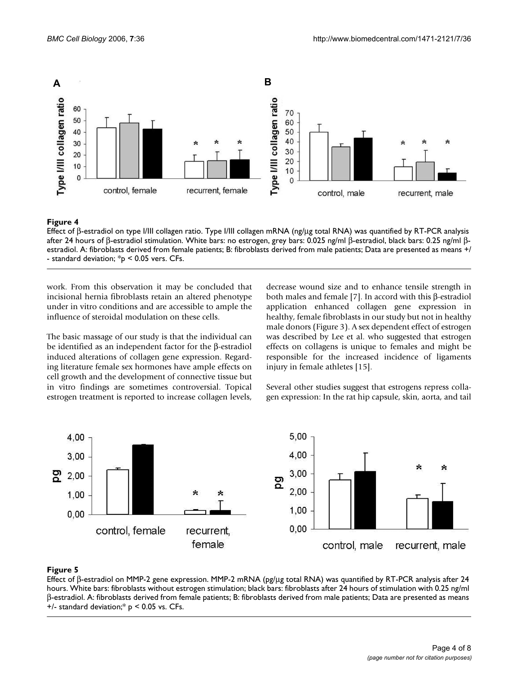

#### **Figure 4**

Effect of β-estradiol on type I/III collagen ratio. Type I/III collagen mRNA (ng/μg total RNA) was quantified by RT-PCR analysis after 24 hours of β-estradiol stimulation. White bars: no estrogen, grey bars: 0.025 ng/ml β-estradiol, black bars: 0.25 ng/ml βestradiol. A: fibroblasts derived from female patients; B: fibroblasts derived from male patients; Data are presented as means +/ - standard deviation; \*p < 0.05 vers. CFs.

work. From this observation it may be concluded that incisional hernia fibroblasts retain an altered phenotype under in vitro conditions and are accessible to ample the influence of steroidal modulation on these cells.

The basic massage of our study is that the individual can be identified as an independent factor for the β-estradiol induced alterations of collagen gene expression. Regarding literature female sex hormones have ample effects on cell growth and the development of connective tissue but in vitro findings are sometimes controversial. Topical estrogen treatment is reported to increase collagen levels, decrease wound size and to enhance tensile strength in both males and female [7]. In accord with this β-estradiol application enhanced collagen gene expression in healthy, female fibroblasts in our study but not in healthy male donors (Figure 3). A sex dependent effect of estrogen was described by Lee et al. who suggested that estrogen effects on collagens is unique to females and might be responsible for the increased incidence of ligaments injury in female athletes [15].

Several other studies suggest that estrogens repress collagen expression: In the rat hip capsule, skin, aorta, and tail



# **Figure 5**

Effect of β-estradiol on MMP-2 gene expression. MMP-2 mRNA (pg/μg total RNA) was quantified by RT-PCR analysis after 24 hours. White bars: fibroblasts without estrogen stimulation; black bars: fibroblasts after 24 hours of stimulation with 0.25 ng/ml β-estradiol. A: fibroblasts derived from female patients; B: fibroblasts derived from male patients; Data are presented as means +/- standard deviation;\* p < 0.05 vs. CFs.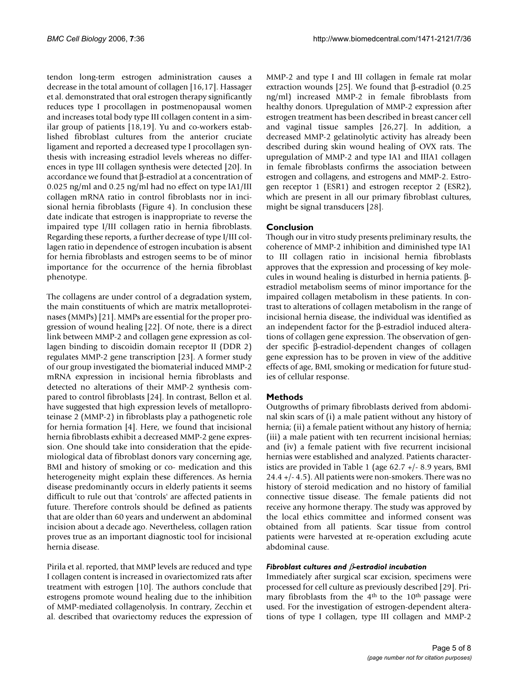tendon long-term estrogen administration causes a decrease in the total amount of collagen [16,17]. Hassager et al. demonstrated that oral estrogen therapy significantly reduces type I procollagen in postmenopausal women and increases total body type III collagen content in a similar group of patients [18,19]. Yu and co-workers established fibroblast cultures from the anterior cruciate ligament and reported a decreased type I procollagen synthesis with increasing estradiol levels whereas no differences in type III collagen synthesis were detected [20]. In accordance we found that β-estradiol at a concentration of 0.025 ng/ml and 0.25 ng/ml had no effect on type IA1/III collagen mRNA ratio in control fibroblasts nor in incisional hernia fibroblasts (Figure 4). In conclusion these date indicate that estrogen is inappropriate to reverse the impaired type I/III collagen ratio in hernia fibroblasts. Regarding these reports, a further decrease of type I/III collagen ratio in dependence of estrogen incubation is absent for hernia fibroblasts and estrogen seems to be of minor importance for the occurrence of the hernia fibroblast phenotype.

The collagens are under control of a degradation system, the main constituents of which are matrix metalloproteinases (MMPs) [21]. MMPs are essential for the proper progression of wound healing [22]. Of note, there is a direct link between MMP-2 and collagen gene expression as collagen binding to discoidin domain receptor II (DDR 2) regulates MMP-2 gene transcription [23]. A former study of our group investigated the biomaterial induced MMP-2 mRNA expression in incisional hernia fibroblasts and detected no alterations of their MMP-2 synthesis compared to control fibroblasts [24]. In contrast, Bellon et al. have suggested that high expression levels of metalloproteinase 2 (MMP-2) in fibroblasts play a pathogenetic role for hernia formation [4]. Here, we found that incisional hernia fibroblasts exhibit a decreased MMP-2 gene expression. One should take into consideration that the epidemiological data of fibroblast donors vary concerning age, BMI and history of smoking or co- medication and this heterogeneity might explain these differences. As hernia disease predominantly occurs in elderly patients it seems difficult to rule out that 'controls' are affected patients in future. Therefore controls should be defined as patients that are older than 60 years and underwent an abdominal incision about a decade ago. Nevertheless, collagen ration proves true as an important diagnostic tool for incisional hernia disease.

Pirila et al. reported, that MMP levels are reduced and type I collagen content is increased in ovariectomized rats after treatment with estrogen [10]. The authors conclude that estrogens promote wound healing due to the inhibition of MMP-mediated collagenolysis. In contrary, Zecchin et al. described that ovariectomy reduces the expression of MMP-2 and type I and III collagen in female rat molar extraction wounds [25]. We found that β-estradiol (0.25 ng/ml) increased MMP-2 in female fibroblasts from healthy donors. Upregulation of MMP-2 expression after estrogen treatment has been described in breast cancer cell and vaginal tissue samples [26,27]. In addition, a decreased MMP-2 gelatinolytic activity has already been described during skin wound healing of OVX rats. The upregulation of MMP-2 and type IA1 and IIIA1 collagen in female fibroblasts confirms the association between estrogen and collagens, and estrogens and MMP-2. Estrogen receptor 1 (ESR1) and estrogen receptor 2 (ESR2), which are present in all our primary fibroblast cultures, might be signal transducers [28].

# **Conclusion**

Though our in vitro study presents preliminary results, the coherence of MMP-2 inhibition and diminished type IA1 to III collagen ratio in incisional hernia fibroblasts approves that the expression and processing of key molecules in wound healing is disturbed in hernia patients. βestradiol metabolism seems of minor importance for the impaired collagen metabolism in these patients. In contrast to alterations of collagen metabolism in the range of incisional hernia disease, the individual was identified as an independent factor for the β-estradiol induced alterations of collagen gene expression. The observation of gender specific β-estradiol-dependent changes of collagen gene expression has to be proven in view of the additive effects of age, BMI, smoking or medication for future studies of cellular response.

# **Methods**

Outgrowths of primary fibroblasts derived from abdominal skin scars of (i) a male patient without any history of hernia; (ii) a female patient without any history of hernia; (iii) a male patient with ten recurrent incisional hernias; and (iv) a female patient with five recurrent incisional hernias were established and analyzed. Patients characteristics are provided in Table 1 (age 62.7 +/- 8.9 years, BMI 24.4 +/- 4.5). All patients were non-smokers. There was no history of steroid medication and no history of familial connective tissue disease. The female patients did not receive any hormone therapy. The study was approved by the local ethics committee and informed consent was obtained from all patients. Scar tissue from control patients were harvested at re-operation excluding acute abdominal cause.

#### *Fibroblast cultures and* β*-estradiol incubation*

Immediately after surgical scar excision, specimens were processed for cell culture as previously described [29]. Primary fibroblasts from the  $4<sup>th</sup>$  to the  $10<sup>th</sup>$  passage were used. For the investigation of estrogen-dependent alterations of type I collagen, type III collagen and MMP-2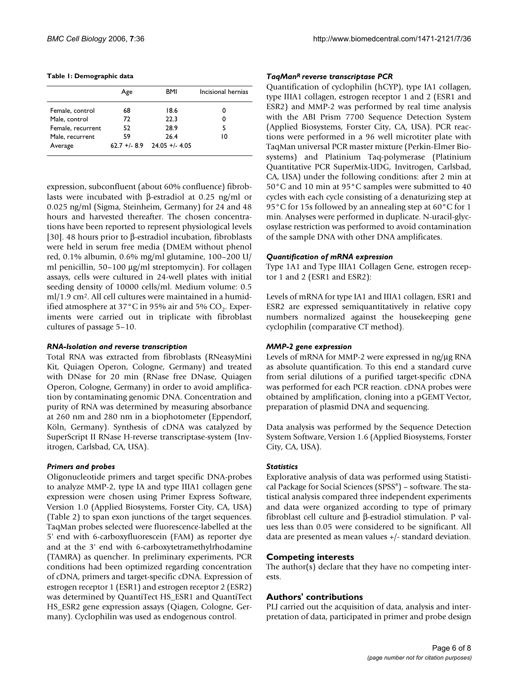#### **Table 1: Demographic data**

|                            | Age | BMI                                   | Incisional hernias |
|----------------------------|-----|---------------------------------------|--------------------|
| Female, control            | 68  | 18.6                                  | 0                  |
| Male, control              | 72  | 22.3                                  | 0                  |
| Female, recurrent          | 52  | 28.9                                  | 5                  |
| Male, recurrent<br>Average | 59  | 26.4<br>$62.7 + (-8.9)$ 24.05 +/-4.05 | 10                 |

expression, subconfluent (about 60% confluence) fibroblasts were incubated with β-estradiol at 0.25 ng/ml or 0.025 ng/ml (Sigma, Steinheim, Germany) for 24 and 48 hours and harvested thereafter. The chosen concentrations have been reported to represent physiological levels [30]. 48 hours prior to β-estradiol incubation, fibroblasts were held in serum free media (DMEM without phenol red, 0.1% albumin, 0.6% mg/ml glutamine, 100–200 U/ ml penicillin, 50–100 μg/ml streptomycin). For collagen assays, cells were cultured in 24-well plates with initial seeding density of 10000 cells/ml. Medium volume: 0.5 ml/1.9 cm2. All cell cultures were maintained in a humidified atmosphere at 37 $^{\circ}$ C in 95% air and 5% CO<sub>2</sub>. Experiments were carried out in triplicate with fibroblast cultures of passage 5–10.

#### *RNA-Isolation and reverse transcription*

Total RNA was extracted from fibroblasts (RNeasyMini Kit, Quiagen Operon, Cologne, Germany) and treated with DNase for 20 min (RNase free DNase, Quiagen Operon, Cologne, Germany) in order to avoid amplification by contaminating genomic DNA. Concentration and purity of RNA was determined by measuring absorbance at 260 nm and 280 nm in a biophotometer (Eppendorf, Köln, Germany). Synthesis of cDNA was catalyzed by SuperScript II RNase H-reverse transcriptase-system (Invitrogen, Carlsbad, CA, USA).

# *Primers and probes*

Oligonucleotide primers and target specific DNA-probes to analyze MMP-2, type IA and type IIIA1 collagen gene expression were chosen using Primer Express Software, Version 1.0 (Applied Biosystems, Forster City, CA, USA) (Table 2) to span exon junctions of the target sequences. TaqMan probes selected were fluorescence-labelled at the 5' end with 6-carboxyfluorescein (FAM) as reporter dye and at the 3' end with 6-carboxytetramethylrhodamine (TAMRA) as quencher. In preliminary experiments, PCR conditions had been optimized regarding concentration of cDNA, primers and target-specific cDNA. Expression of estrogen receptor 1 (ESR1) and estrogen receptor 2 (ESR2) was determined by QuantiTect HS\_ESR1 and QuantiTect HS\_ESR2 gene expression assays (Qiagen, Cologne, Germany). Cyclophilin was used as endogenous control.

# *TaqManR reverse transcriptase PCR*

Quantification of cyclophilin (hCYP), type IA1 collagen, type IIIA1 collagen, estrogen receptor 1 and 2 (ESR1 and ESR2) and MMP-2 was performed by real time analysis with the ABI Prism 7700 Sequence Detection System (Applied Biosystems, Forster City, CA, USA). PCR reactions were performed in a 96 well microtiter plate with TaqMan universal PCR master mixture (Perkin-Elmer Biosystems) and Platinium Taq-polymerase (Platinium Quantitative PCR SuperMix-UDG, Invitrogen, Carlsbad, CA, USA) under the following conditions: after 2 min at 50°C and 10 min at 95°C samples were submitted to 40 cycles with each cycle consisting of a denaturizing step at 95°C for 15s followed by an annealing step at 60°C for 1 min. Analyses were performed in duplicate. N-uracil-glycosylase restriction was performed to avoid contamination of the sample DNA with other DNA amplificates.

# *Quantification of mRNA expression*

Type 1A1 and Type IIIA1 Collagen Gene, estrogen receptor 1 and 2 (ESR1 and ESR2):

Levels of mRNA for type IA1 and IIIA1 collagen, ESR1 and ESR2 are expressed semiquantitatively in relative copy numbers normalized against the housekeeping gene cyclophilin (comparative CT method).

# *MMP-2 gene expression*

Levels of mRNA for MMP-2 were expressed in ng/μg RNA as absolute quantification. To this end a standard curve from serial dilutions of a purified target-specific cDNA was performed for each PCR reaction. cDNA probes were obtained by amplification, cloning into a pGEMT Vector, preparation of plasmid DNA and sequencing.

Data analysis was performed by the Sequence Detection System Software, Version 1.6 (Applied Biosystems, Forster City, CA, USA).

# *Statistics*

Explorative analysis of data was performed using Statistical Package for Social Sciences (SPSS®) – software. The statistical analysis compared three independent experiments and data were organized according to type of primary fibroblast cell culture and β-estradiol stimulation. P values less than 0.05 were considered to be significant. All data are presented as mean values +/- standard deviation.

# **Competing interests**

The author(s) declare that they have no competing interests.

# **Authors' contributions**

PLJ carried out the acquisition of data, analysis and interpretation of data, participated in primer and probe design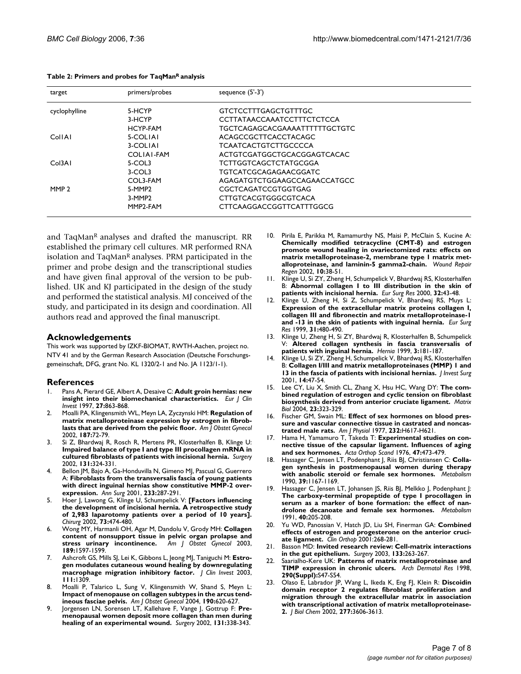| target           | primers/probes       | sequence (5'-3')              |
|------------------|----------------------|-------------------------------|
| cyclophylline    | 5-HCYP               | GTCTCCTTTGAGCTGTTTGC          |
|                  | 3-HCYP               | CCTTATAACCAAATCCTTTCTCTCCA    |
|                  | HCYP-FAM             | TGCTCAGAGCACGAAAATTTTTTGCTGTC |
| CollAl           | 5-COLIAI             | ACAGCCGCTTCACCTACAGC          |
|                  | 3-COLIAI             | TCAATCACTGTCTTGCCCCA          |
|                  | COLIAI-FAM           | ACTGTCGATGGCTGCACGGAGTCACAC   |
| Col3A1           | 5-COL3               | TCTTGGTCAGCTCTATGCGGA         |
|                  | 3-COL3               | TGTCATCGCAGAGAACGGATC         |
|                  | COL3-FAM             | AGAGATGTCTGGAAGCCAGAACCATGCC  |
| MMP <sub>2</sub> | 5-MMP <sub>2</sub>   | CGCTCAGATCCGTGGTGAG           |
|                  | 3-MMP2               | <b>CTTGTCACGTGGGCGTCACA</b>   |
|                  | MMP <sub>2-FAM</sub> | CTTCAAGGACCGGTTCATTTGGCG      |

and TaqMan<sup>R</sup> analyses and drafted the manuscript. RR established the primary cell cultures. MR performed RNA isolation and TaqMan<sup>R</sup> analyses. PRM participated in the primer and probe design and the transcriptional studies and have given final approval of the version to be published. UK and KJ participated in the design of the study and performed the statistical analysis. MJ conceived of the study, and participated in its design and coordination. All authors read and approved the final manuscript.

#### **Acknowledgements**

This work was supported by IZKF-BIOMAT, RWTH-Aachen, project no. NTV 41 and by the German Research Association (Deutsche Forschungsgemeinschaft, DFG, grant No. KL 1320/2-1 and No. JA 1123/1-1).

#### **References**

- 1. Pans A, Pierard GE, Albert A, Desaive C: **[Adult groin hernias: new](http://www.ncbi.nlm.nih.gov/entrez/query.fcgi?cmd=Retrieve&db=PubMed&dopt=Abstract&list_uids=9373767) [insight into their biomechanical characteristics.](http://www.ncbi.nlm.nih.gov/entrez/query.fcgi?cmd=Retrieve&db=PubMed&dopt=Abstract&list_uids=9373767)** *Eur J Clin Invest* 1997, **27:**863-868.
- 2. Moalli PA, Klingensmith WL, Meyn LA, Zyczynski HM: **[Regulation of](http://www.ncbi.nlm.nih.gov/entrez/query.fcgi?cmd=Retrieve&db=PubMed&dopt=Abstract&list_uids=12114891) [matrix metalloproteinase expression by estrogen in fibrob](http://www.ncbi.nlm.nih.gov/entrez/query.fcgi?cmd=Retrieve&db=PubMed&dopt=Abstract&list_uids=12114891)[lasts that are derived from the pelvic floor.](http://www.ncbi.nlm.nih.gov/entrez/query.fcgi?cmd=Retrieve&db=PubMed&dopt=Abstract&list_uids=12114891)** *Am J Obstet Gynecol* 2002, **187:**72-79.
- 3. Si Z, Bhardwaj R, Rosch R, Mertens PR, Klosterhalfen B, Klinge U: **[Impaired balance of type I and type III procollagen mRNA in](http://www.ncbi.nlm.nih.gov/entrez/query.fcgi?cmd=Retrieve&db=PubMed&dopt=Abstract&list_uids=11894038) [cultured fibroblasts of patients with incisional hernia.](http://www.ncbi.nlm.nih.gov/entrez/query.fcgi?cmd=Retrieve&db=PubMed&dopt=Abstract&list_uids=11894038)** *Surgery* 2002, **131:**324-331.
- Bellon JM, Bajo A, Ga-Honduvilla N, Gimeno MJ, Pascual G, Guerrero A: **[Fibroblasts from the transversalis fascia of young patients](http://www.ncbi.nlm.nih.gov/entrez/query.fcgi?cmd=Retrieve&db=PubMed&dopt=Abstract&list_uids=11176137) [with direct inguinal hernias show constitutive MMP-2 over](http://www.ncbi.nlm.nih.gov/entrez/query.fcgi?cmd=Retrieve&db=PubMed&dopt=Abstract&list_uids=11176137)[expression.](http://www.ncbi.nlm.nih.gov/entrez/query.fcgi?cmd=Retrieve&db=PubMed&dopt=Abstract&list_uids=11176137)** *Ann Surg* 2001, **233:**287-291.
- 5. Hoer J, Lawong G, Klinge U, Schumpelick V: **[\[Factors influencing](http://www.ncbi.nlm.nih.gov/entrez/query.fcgi?cmd=Retrieve&db=PubMed&dopt=Abstract&list_uids=12089832) [the development of incisional hernia. A retrospective study](http://www.ncbi.nlm.nih.gov/entrez/query.fcgi?cmd=Retrieve&db=PubMed&dopt=Abstract&list_uids=12089832) of 2,983 laparotomy patients over a period of 10 years].** *Chirurg* 2002, **73:**474-480.
- 6. Wong MY, Harmanli OH, Agar M, Dandolu V, Grody MH: **[Collagen](http://www.ncbi.nlm.nih.gov/entrez/query.fcgi?cmd=Retrieve&db=PubMed&dopt=Abstract&list_uids=14710077) [content of nonsupport tissue in pelvic organ prolapse and](http://www.ncbi.nlm.nih.gov/entrez/query.fcgi?cmd=Retrieve&db=PubMed&dopt=Abstract&list_uids=14710077) stress urinary incontinence.** Am *J* Obstet Gynecol 2003, [stress urinary incontinence.](http://www.ncbi.nlm.nih.gov/entrez/query.fcgi?cmd=Retrieve&db=PubMed&dopt=Abstract&list_uids=14710077) **189:**1597-1599.
- 7. Ashcroft GS, Mills SJ, Lei K, Gibbons L, Jeong MJ, Taniguchi M: **[Estro](http://www.ncbi.nlm.nih.gov/entrez/query.fcgi?cmd=Retrieve&db=PubMed&dopt=Abstract&list_uids=12727922)[gen modulates cutaneous wound healing by downregulating](http://www.ncbi.nlm.nih.gov/entrez/query.fcgi?cmd=Retrieve&db=PubMed&dopt=Abstract&list_uids=12727922) [macrophage migration inhibitory factor.](http://www.ncbi.nlm.nih.gov/entrez/query.fcgi?cmd=Retrieve&db=PubMed&dopt=Abstract&list_uids=12727922)** *J Clin Invest* 2003, **111:**1309.
- 8. Moalli P, Talarico L, Sung V, Klingensmith W, Shand S, Meyn L: **[Impact of menopause on collagen subtypes in the arcus tend](http://www.ncbi.nlm.nih.gov/entrez/query.fcgi?cmd=Retrieve&db=PubMed&dopt=Abstract&list_uids=15041990)[ineous fasciae pelvis.](http://www.ncbi.nlm.nih.gov/entrez/query.fcgi?cmd=Retrieve&db=PubMed&dopt=Abstract&list_uids=15041990)** *Am J Obstet Gynecol* 2004, **190:**620-627.
- Jorgensen LN, Sorensen LT, Kallehave F, Vange J, Gottrup F: [Pre](http://www.ncbi.nlm.nih.gov/entrez/query.fcgi?cmd=Retrieve&db=PubMed&dopt=Abstract&list_uids=11894040)**[menopausal women deposit more collagen than men during](http://www.ncbi.nlm.nih.gov/entrez/query.fcgi?cmd=Retrieve&db=PubMed&dopt=Abstract&list_uids=11894040) [healing of an experimental wound.](http://www.ncbi.nlm.nih.gov/entrez/query.fcgi?cmd=Retrieve&db=PubMed&dopt=Abstract&list_uids=11894040)** *Surgery* 2002, **131:**338-343.
- 10. Pirila E, Parikka M, Ramamurthy NS, Maisi P, McClain S, Kucine A: **[Chemically modified tetracycline \(CMT-8\) and estrogen](http://www.ncbi.nlm.nih.gov/entrez/query.fcgi?cmd=Retrieve&db=PubMed&dopt=Abstract&list_uids=11983005) promote wound healing in ovariectomized rats: effects on matrix metalloproteinase-2, membrane type 1 matrix met[alloproteinase, and laminin-5 gamma2-chain.](http://www.ncbi.nlm.nih.gov/entrez/query.fcgi?cmd=Retrieve&db=PubMed&dopt=Abstract&list_uids=11983005)** *Wound Repair Regen* 2002, **10:**38-51.
- 11. Klinge U, Si ZY, Zheng H, Schumpelick V, Bhardwaj RS, Klosterhalfen B: **[Abnormal collagen I to III distribution in the skin of](http://www.ncbi.nlm.nih.gov/entrez/query.fcgi?cmd=Retrieve&db=PubMed&dopt=Abstract&list_uids=10720845) [patients with incisional hernia.](http://www.ncbi.nlm.nih.gov/entrez/query.fcgi?cmd=Retrieve&db=PubMed&dopt=Abstract&list_uids=10720845)** *Eur Surg Res* 2000, **32:**43-48.
- 12. Klinge U, Zheng H, Si Z, Schumpelick V, Bhardwaj RS, Muys L: **[Expression of the extracellular matrix proteins collagen I,](http://www.ncbi.nlm.nih.gov/entrez/query.fcgi?cmd=Retrieve&db=PubMed&dopt=Abstract&list_uids=10861344) collagen III and fibronectin and matrix metalloproteinase-1 [and -13 in the skin of patients with inguinal hernia.](http://www.ncbi.nlm.nih.gov/entrez/query.fcgi?cmd=Retrieve&db=PubMed&dopt=Abstract&list_uids=10861344)** *Eur Surg Res* 1999, **31:**480-490.
- 13. Klinge U, Zheng H, Si ZY, Bhardwaj R, Klosterhalfen B, Schumpelick V: **Altered collagen synthesis in fascia transversalis of patients with inguinal hernia.** *Hernia* 1999, **3:**181-187.
- 14. Klinge U, Si ZY, Zheng H, Schumpelick V, Bhardwaj RS, Klosterhalfen B: **[Collagen I/III and matrix metalloproteinases \(MMP\) 1 and](http://www.ncbi.nlm.nih.gov/entrez/query.fcgi?cmd=Retrieve&db=PubMed&dopt=Abstract&list_uids=11297060) [13 in the fascia of patients with incisional hernias.](http://www.ncbi.nlm.nih.gov/entrez/query.fcgi?cmd=Retrieve&db=PubMed&dopt=Abstract&list_uids=11297060)** *J Invest Surg* 2001, **14:**47-54.
- 15. Lee CY, Liu X, Smith CL, Zhang X, Hsu HC, Wang DY: **[The com](http://www.ncbi.nlm.nih.gov/entrez/query.fcgi?cmd=Retrieve&db=PubMed&dopt=Abstract&list_uids=15464364)[bined regulation of estrogen and cyclic tension on fibroblast](http://www.ncbi.nlm.nih.gov/entrez/query.fcgi?cmd=Retrieve&db=PubMed&dopt=Abstract&list_uids=15464364) [biosynthesis derived from anterior cruciate ligament.](http://www.ncbi.nlm.nih.gov/entrez/query.fcgi?cmd=Retrieve&db=PubMed&dopt=Abstract&list_uids=15464364)** *Matrix Biol* 2004, **23:**323-329.
- 16. Fischer GM, Swain ML: **[Effect of sex hormones on blood pres](http://www.ncbi.nlm.nih.gov/entrez/query.fcgi?cmd=Retrieve&db=PubMed&dopt=Abstract&list_uids=879300)[sure and vascular connective tissue in castrated and noncas](http://www.ncbi.nlm.nih.gov/entrez/query.fcgi?cmd=Retrieve&db=PubMed&dopt=Abstract&list_uids=879300)[trated male rats.](http://www.ncbi.nlm.nih.gov/entrez/query.fcgi?cmd=Retrieve&db=PubMed&dopt=Abstract&list_uids=879300)** *Am J Physiol* 1977, **232:**H617-H621.
- 17. Hama H, Yamamuro T, Takeda T: **[Experimental studies on con](http://www.ncbi.nlm.nih.gov/entrez/query.fcgi?cmd=Retrieve&db=PubMed&dopt=Abstract&list_uids=998180)[nective tissue of the capsular ligament. Influences of aging](http://www.ncbi.nlm.nih.gov/entrez/query.fcgi?cmd=Retrieve&db=PubMed&dopt=Abstract&list_uids=998180) [and sex hormones.](http://www.ncbi.nlm.nih.gov/entrez/query.fcgi?cmd=Retrieve&db=PubMed&dopt=Abstract&list_uids=998180)** *Acta Orthop Scand* 1976, **47:**473-479.
- 18. Hassager C, Jensen LT, Podenphant J, Riis BJ, Christiansen C: **[Colla](http://www.ncbi.nlm.nih.gov/entrez/query.fcgi?cmd=Retrieve&db=PubMed&dopt=Abstract&list_uids=2233278)[gen synthesis in postmenopausal women during therapy](http://www.ncbi.nlm.nih.gov/entrez/query.fcgi?cmd=Retrieve&db=PubMed&dopt=Abstract&list_uids=2233278) [with anabolic steroid or female sex hormones.](http://www.ncbi.nlm.nih.gov/entrez/query.fcgi?cmd=Retrieve&db=PubMed&dopt=Abstract&list_uids=2233278)** *Metabolism* 1990, **39:**1167-1169.
- 19. Hassager C, Jensen LT, Johansen JS, Riis BJ, Melkko J, Podenphant J: **[The carboxy-terminal propeptide of type I procollagen in](http://www.ncbi.nlm.nih.gov/entrez/query.fcgi?cmd=Retrieve&db=PubMed&dopt=Abstract&list_uids=1988778) serum as a marker of bone formation: the effect of nan[drolone decanoate and female sex hormones.](http://www.ncbi.nlm.nih.gov/entrez/query.fcgi?cmd=Retrieve&db=PubMed&dopt=Abstract&list_uids=1988778)** *Metabolism* 1991, **40:**205-208.
- Yu WD, Panossian V, Hatch JD, Liu SH, Finerman GA: **[Combined](http://www.ncbi.nlm.nih.gov/entrez/query.fcgi?cmd=Retrieve&db=PubMed&dopt=Abstract&list_uids=11210964) [effects of estrogen and progesterone on the anterior cruci](http://www.ncbi.nlm.nih.gov/entrez/query.fcgi?cmd=Retrieve&db=PubMed&dopt=Abstract&list_uids=11210964)[ate ligament.](http://www.ncbi.nlm.nih.gov/entrez/query.fcgi?cmd=Retrieve&db=PubMed&dopt=Abstract&list_uids=11210964)** *Clin Orthop* 2001:268-281.
- 21. Basson MD: **[Invited research review: Cell-matrix interactions](http://www.ncbi.nlm.nih.gov/entrez/query.fcgi?cmd=Retrieve&db=PubMed&dopt=Abstract&list_uids=12660637) [in the gut epithelium.](http://www.ncbi.nlm.nih.gov/entrez/query.fcgi?cmd=Retrieve&db=PubMed&dopt=Abstract&list_uids=12660637)** *Surgery* 2003, **133:**263-267.
- 22. Saarialho-Kere UK: **[Patterns of matrix metalloproteinase and](http://www.ncbi.nlm.nih.gov/entrez/query.fcgi?cmd=Retrieve&db=PubMed&dopt=Abstract&list_uids=9710383) [TIMP expression in chronic ulcers.](http://www.ncbi.nlm.nih.gov/entrez/query.fcgi?cmd=Retrieve&db=PubMed&dopt=Abstract&list_uids=9710383)** *Arch Dermatol Res* 1998, **290(Suppl):**S47-S54.
- 23. Olaso E, Labrador JP, Wang L, Ikeda K, Eng FJ, Klein R: **[Discoidin](http://www.ncbi.nlm.nih.gov/entrez/query.fcgi?cmd=Retrieve&db=PubMed&dopt=Abstract&list_uids=11723120) [domain receptor 2 regulates fibroblast proliferation and](http://www.ncbi.nlm.nih.gov/entrez/query.fcgi?cmd=Retrieve&db=PubMed&dopt=Abstract&list_uids=11723120) migration through the extracellular matrix in association with transcriptional activation of matrix metalloproteinase-[2.](http://www.ncbi.nlm.nih.gov/entrez/query.fcgi?cmd=Retrieve&db=PubMed&dopt=Abstract&list_uids=11723120)** *J Biol Chem* 2002, **277:**3606-3613.